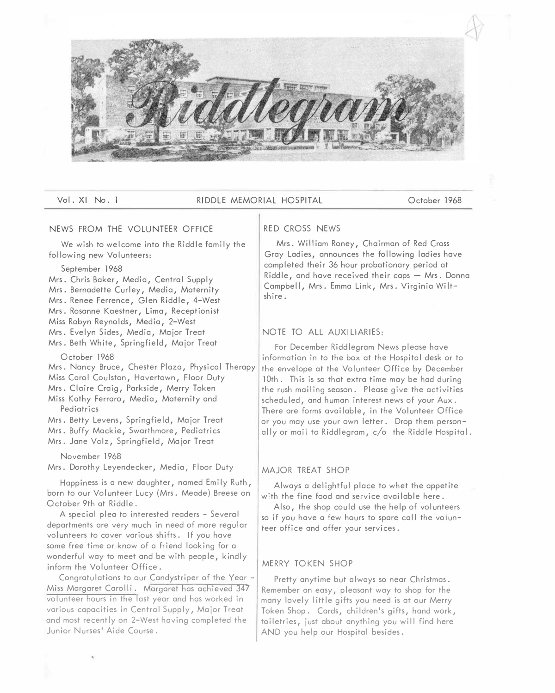

Vol. XI No. 1 RIDDLE MEMORIAL HOSPITAL October 1968

## NEWS FROM THE VOLUNTEER OFFICE

We wish to welcome into the Riddle family the following new Volunteers:

### September 1968

Mrs. Chris Baker, Media, Central Supply Mrs. Bernadette Curley, Media, Maternity Mrs. Renee Ferrence, Glen Riddle, 4-West Mrs. Rosanne Kaestner, Lima, Receptionist Miss Robyn Reynolds, Media, 2-West Mrs. Evelyn Sides, Media, Major Treat Mrs. Beth White, Springfield, Major Treat

## October 1968

Mrs. Nancy Bruce, Chester Plaza, Physical Therapy Miss Carol Coulston, Havertown, Floor Duty Mrs. Claire Craig, Parkside, Merry Token Miss Kathy Ferraro, Media, Maternity and Pediatrics Mrs. Betty Levens, Springfield, Major Treat Mrs. Buffy Mackie, Swarthmore, Pediatrics

Mrs. Jane Volz, Springfield, Major Treat

#### November 1968

Mrs. Dorothy Leyendecker, Media, Floor Duty

Happiness is a new doughter, named Emily Ruth, born to our Volunteer Lucy (Mrs. Meade) Breese on October 9th at Riddle.

A special plea to interested readers - Several departments are very much in need of more regular volunteers to cover various shifts. If you have some free time or know of a friend looking for a wonderful way to meet and be with people, kindly inform the Volunteer Office.

Congratulations to our Candystriper of the Year - Miss Margaret Carolli. Margaret has achieved 347 volunteer hours in the last year and has worked in various capacities in Central Supply, Major Treat and most recently on 2-West having completed the Junior Nurses' Aide Course.

#### RED CROSS NEWS

Mrs. William Roney, Chairman of Red Cross Gray Ladies, announces the following ladies have completed their 36 hour probationary period at  $Riddle$ , and have received their caps  $-$  Mrs. Donna Campbell, Mrs. Emma Link, Mrs. Virginia Wiltshire.

## NOTE TO ALL AUXILIARIES:

For December Riddlegram News please have information in to the box at the Hospital desk or to the envelope at the Volunteer Office by December 10th. This is so that extra time may be had during the rush mailing season. Please give the activities scheduled, and human interest news of your Aux. There are forms available, in the Volunteer Office or you may use your own letter. Drop them personally or mail to Riddlegram, c/o the Riddle Hospital.

# MAJOR TREAT SHOP

Always a delightful place to whet the appetite with the fine food and service available here.

Also, the shop could use the help of volunteers so if you have a few hours to spare call the volunteer office and offer your services.

## MERRY TOKEN SHOP

Pretty anytime but always so near Christmas. Remember an easy, pleasant way to shop for the many lovely little gifts you need is at our Merry Token Shop. Cards, children's gifts, hand work, toiletries, just about anything you will find here AND you help our Hospital besides.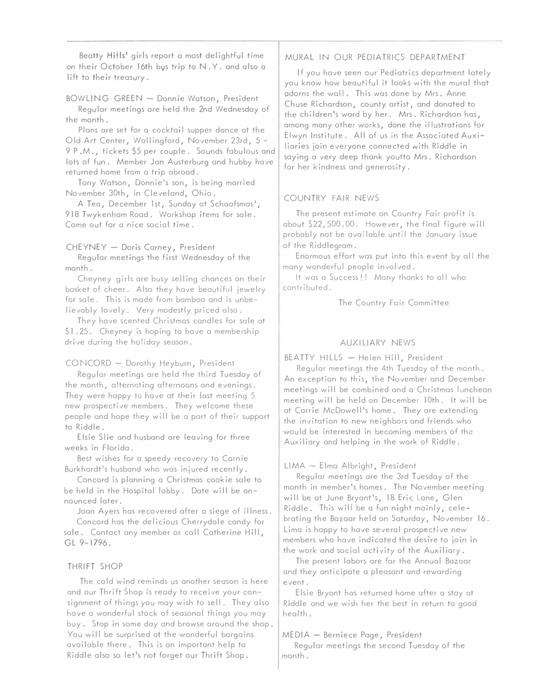Beatty **Hills'** girls report a most delightful time on their October 16th bvs trip to N. Y. and also a lift to their treasury.

# BOWLING GREEN - Donnie Watson, President

Regular meetings are held the 2nd Wednesday of the month.

Plans are set for a cocktail supper dance at the Old Art Center, Wallingford, November 23rd, 5 - 9 P.M., tickets \$5 per couple. Sounds fabulous and lots of fun. Member Jan Austerburg and hubby have returned home from a trip abroad.

Tony Watson, Donnie's son, is being married November 30th, in Cleveland, Ohio.

A Tea, December 1st, Sunday at Schaafsmas', 918 Twykenham Road. Workshop items for sale. Come out for a nice social time.

## CHEYNEY - Doris Carney, President

Regular meetings the first Wednesday of the month.

Cheyney girls are busy selling chances on their basket of cheer. Also they have beautiful jewelry for sale. This is made from bamboo and is unbelievably lovely. Very modestly priced also.

They have scented Christmas candles for sale at \$1 .25. Cheyney is hoping to have a membership drive during the holiday season.

# CONCORD - Dorothy Heyburn, President

Regular meetings are held the third Tuesday of the month, alternating afternoons and evenings. They were happy to have at their last meeting 5 new prospective members. They welcome these people ond hope they will be o part of their support to Riddle.

Elsie Slie ond husband are leaving for three weeks in Florida.

Best wishes for a speedy recovery to Cornie Burkhardt's husband who was injured recently.

Concord is planning a Christmas cookie sale to be held in the Hospital lobby. Date will be announced later.

Joan Ayers has recovered after a siege of illness.

Concord has the delicious Cherrydale candy for sale. Contact any member or call Catherine Hill, GL 9-1796.

## THRIFT SHOP

The cold wind reminds us another season is here and our Thrift Shop is ready to receive your consignment of things you may wish to sell. They also have a wonderful stack of seasonal things you may buy. Stop in some day and browse around the shop. You will be surprised at the wonderful bargains available there. This is an important help to Riddle also so let's not forget our Thrift Shop.

## MURAL IN OUR PEDIATRICS DEPARTMENT

If you have seen our Pediatrics deportment lately you know how beautiful it looks with the mural that adorns the wall. This was done by Mrs. Anne Ch use Richardson, county artist, and donated to the children's ward by her. Mrs. Richardson has, among many other works, done the illustrations for Elwyn Institute. All of us in the Associated Auxiliaries join everyone connected with Riddle in saying a very deep thank youtto Mrs. Richardson for her kindness and generosity.

## COUNTRY FAIR NEWS

The present estimate on Country Fair profit is about S22,500.00. However, the final figure will probably not be available until the January issue of the Riddlegram.

Enormous effort was put into this event by all the many wonderful people involved.

It was a Success!! Many thanks to all who contributed.

The Country Fair Committee

# AUXILIARY NEWS

BEATTY HILLS - Helen Hill, President

Regular meetings the 4th Tuesday of the month. An exception to this, the November and December meetings will be combined and a Christmas luncheon meeting will be held on December 10th. It will be at Carrie McDowell's home. They are extending the invitation to new neighbors and friends who would be interested in becoming members of the Auxiliary and helping in the work of Riddle.

## LIMA - Elma Albright, President

Regular meetings are the 3rd Tuesday of the month in member's homes. The November meeting will be at June Bryant's, 18 Eric Lane, Glen Riddle. This will be a fun night mainly, celebrating the Bazaar held on Saturday, November 16. Lima is happy to have several prospective new members who have indicated the desire to join in the work and social activity of the Auxiliary.

The present labors are for the Annual Bazaar and they anticipate a pleasant and rewarding event.

Elsie Bryant has returned home after a stay at Riddle and we wish her the best in return to good health.

## MEDIA - Berniece Page, President

Regular meetings the second Tuesday of the month.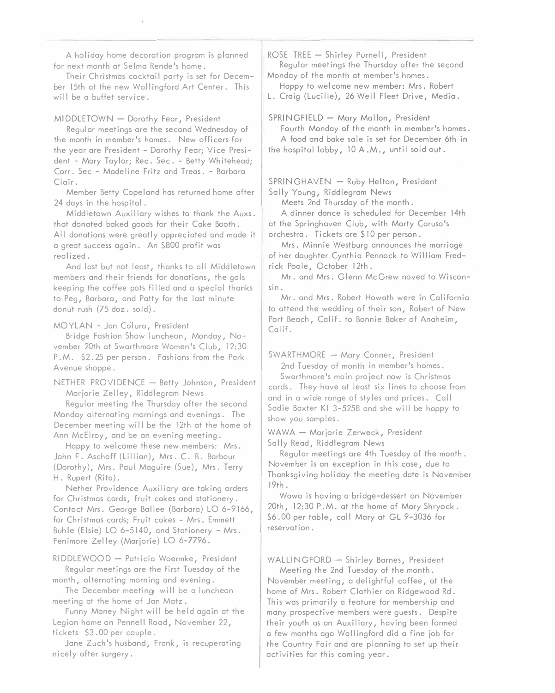A holiday home decoration program is planned for next month at Selma Rende's home.

Their Christmas cocktail party is set for December 15th at the new Wallingford Art Center. This will be a buffet service.

### MIDDLETOWN - Dorothy Fear, President

Regular meetings ore the second Wednesday of the month in member's homes. New officers for the year are President - Dorothy Fear; Vice President - Mary Taylor; Rec. Sec. - Betty Whitehead; Corr. Sec - Madeline Fritz and Treas. - Barbara Clair.

Member Betty Copeland has returned home after 24 days in the hospital.

Middletown Auxiliary wishes to thank the Auxs. that donated baked goods for their Cake Booth. All donations were greatly appreciated and made it a greot success again. An \$800 profit was realized.

And last but not least, thanks to all Middletown members and their friends for donations, the gals keeping the coffee pots filled and a special thanks to Peg, Barbara, and Patty for the last minute donut rush (75 doz. sold}.

### MOYLAN - Jan Colura, President

Bridge Fashion Show luncheon, Monday, November 20th at Swarthmore Women's Club, 12:30 P.M. \$2.25 per person. Fashions from the Park Avenue shoppe.

NETHER PROVIDENCE - Betty Johnson, President Marjorie Zelley, Riddlegram News

Regular meeting the Thursday after the second Monday alternating mornings and evenings. The December meeting will be the 12th at the home of Ann McElroy, and be an evening meeting.

Happy to welcome these new members: Mrs. John F. Aschoff (Lillian}, Mrs. C. 8. Barbour (Dorothy), Mrs. Paul Maguire (Sue), Mrs. Terry H. Rupert (Rita).

Nether Providence Auxiliary are taking orders for Christmas cards, fruit cakes and stationery. Contact Mrs. George Bailee {Barbara} LO 6-9166, for Christmas cards; Fruit cakes - Mrs. Emmett Buhle (Elsie} LO 6-5140, and Stationery - Mrs. Fenimore Zelley (Marjorie) LO 6-7796.

RIDDLEWOOD - Patricia Woermke, President Regular meetings are the first Tuesday of the month, alternating morning and evening.

The December meeting, will be a luncheon meeting at the home of Jan Matz.

Funny Money Night will be held again at the Legion home on Pennell Road, November 22, tickets \$3.00 per couple.

Jane Zuch 's husband, Frank, is recuperating nicely after surgery.

ROSE TREE  $-$  Shirley Purnell, President Regular meetings the Thursday after the second Monday of the month at member's homes.

Happy to welcome new member: Mrs. Robert L. Craig (Lucille), 26 Well Fleet Drive, Media.

SPRINGFIELD - Mary Mallon, President

Fourth Monday of the month in member's homes. A food and bake sale is set for December 6th in the hospital lobby, JO A .M., until sold out.

SPRINGHAVEN - Ruby Helton, President Sally Young, Riddlegram News

Meets 2nd Thursday of the month.

A dinner dance is scheduled for December 14th

at the Springhaven Club, with Marty Caruso's orchestra. Tickets are \$IO per person.

Mrs. Minnie Westburg announces the marriage of her daughter Cynthia Pennock to William Fredrick Poole, October 12th.

Mr. and Mrs. Glenn McGrew noved to Wisconsin.

Mr. and Mrs. Robert Howeth were in California to attend the wedding of their son, Robert of New Port Beach, Calif. to Bonnie Baker of Anaheim, Calif.

SWARTHMORE - Mary Conner, President 2nd Tuesday of month in member's homes.

Swarthmore's main project now is Christmas cards. They have at least six lines to choose from and in a wide range of styles and prices. Call Sadie Baxter Kl 3-5258 and she will be happy to show you samples.

WAWA - Marjorie Zerweck, President Sally Read, Riddlegram News

Regular meetings are 4th Tuesday of the month. November is on exception in this case, due to Thanksgiving holiday the meeting date is November 19th.

Wawa is having a bridge-dessert on November 20th, 12:30 P.M. at the home of Mary Shryock. \$6.00 per table, call Mary at GL 9-3036 for reservation.

WALLINGFORD - Shirley Barnes, President

Meeting the 2nd Tuesday of the month. November meeting, a delightful coffee, at the home of Mrs. Robert Clothier on Ridgewood Rd. This was primarily a feature for membership and many prospective members were guests. Despite their youth as an Auxiliary, having been formed a few months ago Wallingford did a fine job for the Country Fair and are planning to set up their activities for this coming year.